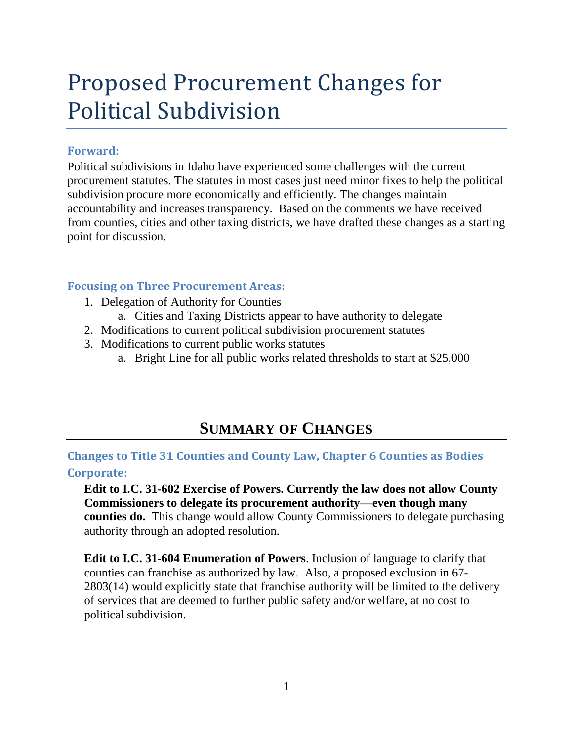# Proposed Procurement Changes for Political Subdivision

### **Forward:**

Political subdivisions in Idaho have experienced some challenges with the current procurement statutes. The statutes in most cases just need minor fixes to help the political subdivision procure more economically and efficiently. The changes maintain accountability and increases transparency. Based on the comments we have received from counties, cities and other taxing districts, we have drafted these changes as a starting point for discussion.

### **Focusing on Three Procurement Areas:**

- 1. Delegation of Authority for Counties
	- a. Cities and Taxing Districts appear to have authority to delegate
- 2. Modifications to current political subdivision procurement statutes
- 3. Modifications to current public works statutes
	- a. Bright Line for all public works related thresholds to start at \$25,000

## **SUMMARY OF CHANGES**

**Changes to Title 31 Counties and County Law, Chapter 6 Counties as Bodies Corporate:**

**Edit to I.C. 31-602 Exercise of Powers. Currently the law does not allow County Commissioners to delegate its procurement authority—even though many counties do.** This change would allow County Commissioners to delegate purchasing authority through an adopted resolution.

**Edit to I.C. 31-604 Enumeration of Powers**. Inclusion of language to clarify that counties can franchise as authorized by law. Also, a proposed exclusion in 67- 2803(14) would explicitly state that franchise authority will be limited to the delivery of services that are deemed to further public safety and/or welfare, at no cost to political subdivision.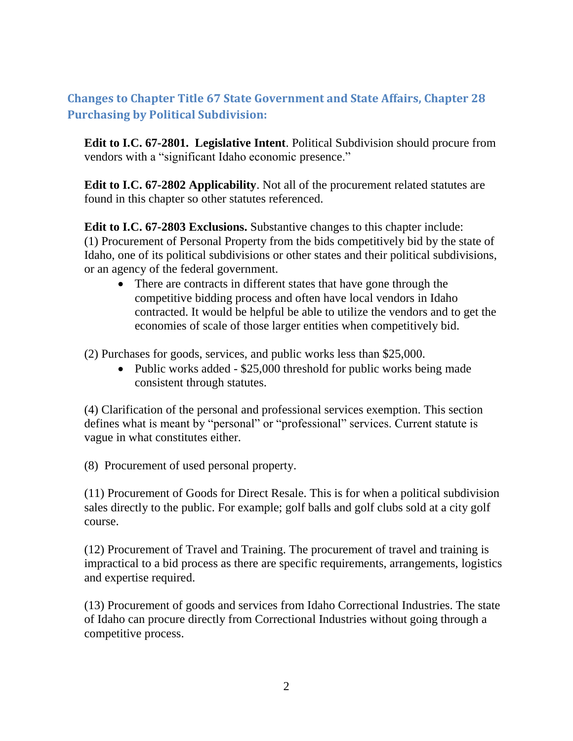## **Changes to Chapter Title 67 State Government and State Affairs, Chapter 28 Purchasing by Political Subdivision:**

**Edit to I.C. 67-2801. Legislative Intent**. Political Subdivision should procure from vendors with a "significant Idaho economic presence."

**Edit to I.C. 67-2802 Applicability**. Not all of the procurement related statutes are found in this chapter so other statutes referenced.

**Edit to I.C. 67-2803 Exclusions.** Substantive changes to this chapter include: (1) Procurement of Personal Property from the bids competitively bid by the state of Idaho, one of its political subdivisions or other states and their political subdivisions, or an agency of the federal government.

• There are contracts in different states that have gone through the competitive bidding process and often have local vendors in Idaho contracted. It would be helpful be able to utilize the vendors and to get the economies of scale of those larger entities when competitively bid.

(2) Purchases for goods, services, and public works less than \$25,000.

• Public works added - \$25,000 threshold for public works being made consistent through statutes.

(4) Clarification of the personal and professional services exemption. This section defines what is meant by "personal" or "professional" services. Current statute is vague in what constitutes either.

(8) Procurement of used personal property.

(11) Procurement of Goods for Direct Resale. This is for when a political subdivision sales directly to the public. For example; golf balls and golf clubs sold at a city golf course.

(12) Procurement of Travel and Training. The procurement of travel and training is impractical to a bid process as there are specific requirements, arrangements, logistics and expertise required.

(13) Procurement of goods and services from Idaho Correctional Industries. The state of Idaho can procure directly from Correctional Industries without going through a competitive process.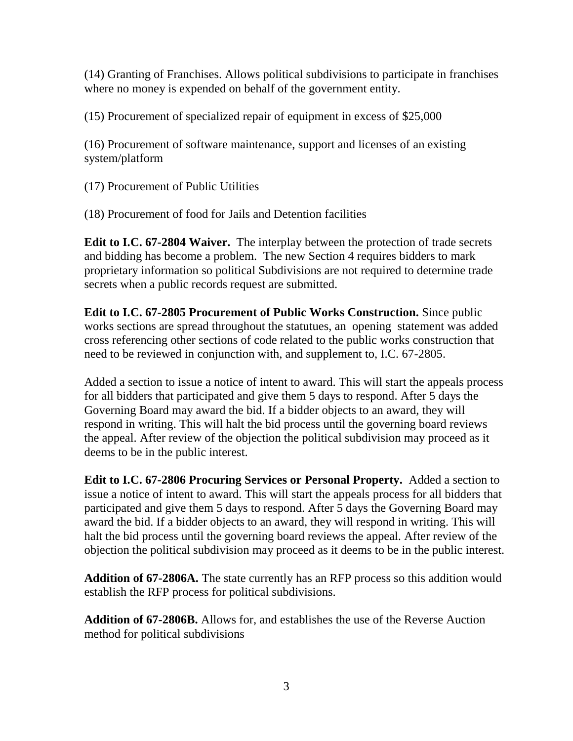(14) Granting of Franchises. Allows political subdivisions to participate in franchises where no money is expended on behalf of the government entity.

(15) Procurement of specialized repair of equipment in excess of \$25,000

(16) Procurement of software maintenance, support and licenses of an existing system/platform

(17) Procurement of Public Utilities

(18) Procurement of food for Jails and Detention facilities

**Edit to I.C. 67-2804 Waiver.** The interplay between the protection of trade secrets and bidding has become a problem. The new Section 4 requires bidders to mark proprietary information so political Subdivisions are not required to determine trade secrets when a public records request are submitted.

**Edit to I.C. 67-2805 Procurement of Public Works Construction.** Since public works sections are spread throughout the statutues, an opening statement was added cross referencing other sections of code related to the public works construction that need to be reviewed in conjunction with, and supplement to, I.C. 67-2805.

Added a section to issue a notice of intent to award. This will start the appeals process for all bidders that participated and give them 5 days to respond. After 5 days the Governing Board may award the bid. If a bidder objects to an award, they will respond in writing. This will halt the bid process until the governing board reviews the appeal. After review of the objection the political subdivision may proceed as it deems to be in the public interest.

**Edit to I.C. 67-2806 Procuring Services or Personal Property.** Added a section to issue a notice of intent to award. This will start the appeals process for all bidders that participated and give them 5 days to respond. After 5 days the Governing Board may award the bid. If a bidder objects to an award, they will respond in writing. This will halt the bid process until the governing board reviews the appeal. After review of the objection the political subdivision may proceed as it deems to be in the public interest.

**Addition of 67-2806A.** The state currently has an RFP process so this addition would establish the RFP process for political subdivisions.

**Addition of 67-2806B.** Allows for, and establishes the use of the Reverse Auction method for political subdivisions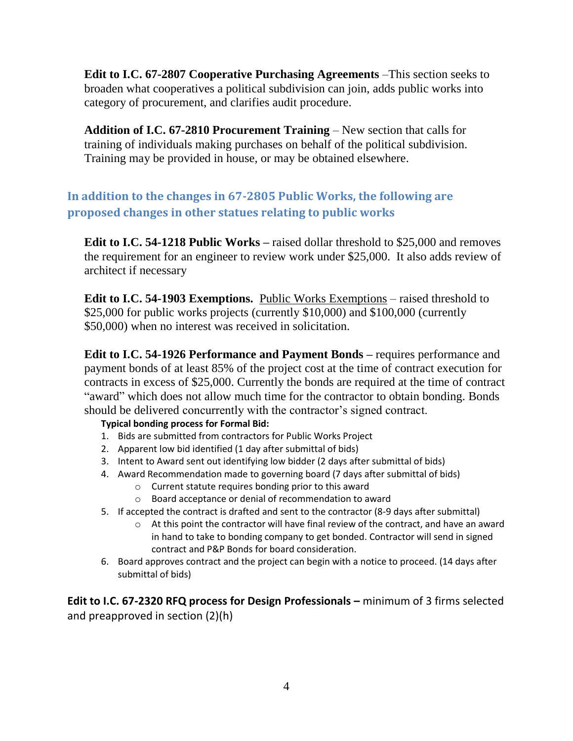**Edit to I.C. 67-2807 Cooperative Purchasing Agreements** –This section seeks to broaden what cooperatives a political subdivision can join, adds public works into category of procurement, and clarifies audit procedure.

**Addition of I.C. 67-2810 Procurement Training** – New section that calls for training of individuals making purchases on behalf of the political subdivision. Training may be provided in house, or may be obtained elsewhere.

## **In addition to the changes in 67-2805 Public Works, the following are proposed changes in other statues relating to public works**

**Edit to I.C. 54-1218 Public Works –** raised dollar threshold to \$25,000 and removes the requirement for an engineer to review work under \$25,000. It also adds review of architect if necessary

**Edit to I.C. 54-1903 Exemptions.** Public Works Exemptions – raised threshold to \$25,000 for public works projects (currently \$10,000) and \$100,000 (currently \$50,000) when no interest was received in solicitation.

**Edit to I.C. 54-1926 Performance and Payment Bonds –** requires performance and payment bonds of at least 85% of the project cost at the time of contract execution for contracts in excess of \$25,000. Currently the bonds are required at the time of contract "award" which does not allow much time for the contractor to obtain bonding. Bonds should be delivered concurrently with the contractor's signed contract.

#### **Typical bonding process for Formal Bid:**

- 1. Bids are submitted from contractors for Public Works Project
- 2. Apparent low bid identified (1 day after submittal of bids)
- 3. Intent to Award sent out identifying low bidder (2 days after submittal of bids)
- 4. Award Recommendation made to governing board (7 days after submittal of bids)
	- o Current statute requires bonding prior to this award
	- o Board acceptance or denial of recommendation to award
- 5. If accepted the contract is drafted and sent to the contractor (8-9 days after submittal)
	- o At this point the contractor will have final review of the contract, and have an award in hand to take to bonding company to get bonded. Contractor will send in signed contract and P&P Bonds for board consideration.
- 6. Board approves contract and the project can begin with a notice to proceed. (14 days after submittal of bids)

**Edit to I.C. 67-2320 RFQ process for Design Professionals –** minimum of 3 firms selected and preapproved in section (2)(h)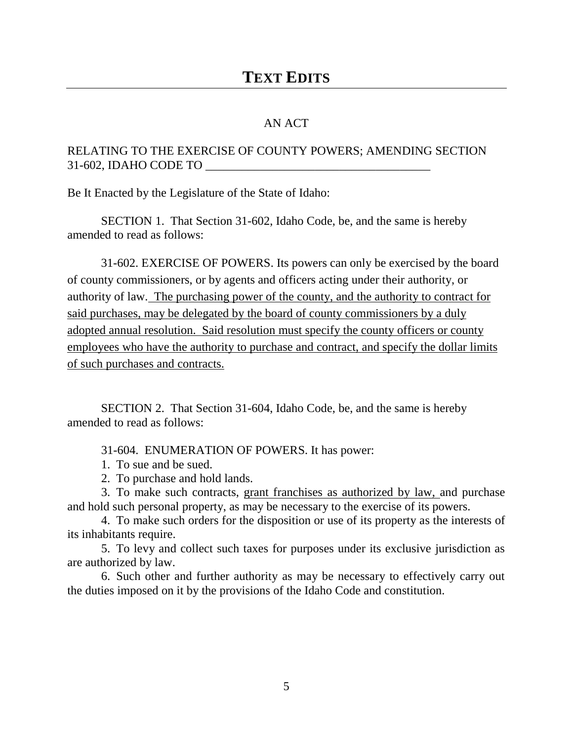#### AN ACT

#### RELATING TO THE EXERCISE OF COUNTY POWERS; AMENDING SECTION 31-602, IDAHO CODE TO

Be It Enacted by the Legislature of the State of Idaho:

SECTION 1. That Section 31-602, Idaho Code, be, and the same is hereby amended to read as follows:

31-602. EXERCISE OF POWERS. Its powers can only be exercised by the board of county commissioners, or by agents and officers acting under their authority, or authority of law. The purchasing power of the county, and the authority to contract for said purchases, may be delegated by the board of county commissioners by a duly adopted annual resolution. Said resolution must specify the county officers or county employees who have the authority to purchase and contract, and specify the dollar limits of such purchases and contracts.

SECTION 2. That Section 31-604, Idaho Code, be, and the same is hereby amended to read as follows:

31-604. ENUMERATION OF POWERS. It has power:

- 1. To sue and be sued.
- 2. To purchase and hold lands.

3. To make such contracts, grant franchises as authorized by law, and purchase and hold such personal property, as may be necessary to the exercise of its powers.

4. To make such orders for the disposition or use of its property as the interests of its inhabitants require.

5. To levy and collect such taxes for purposes under its exclusive jurisdiction as are authorized by law.

6. Such other and further authority as may be necessary to effectively carry out the duties imposed on it by the provisions of the Idaho Code and constitution.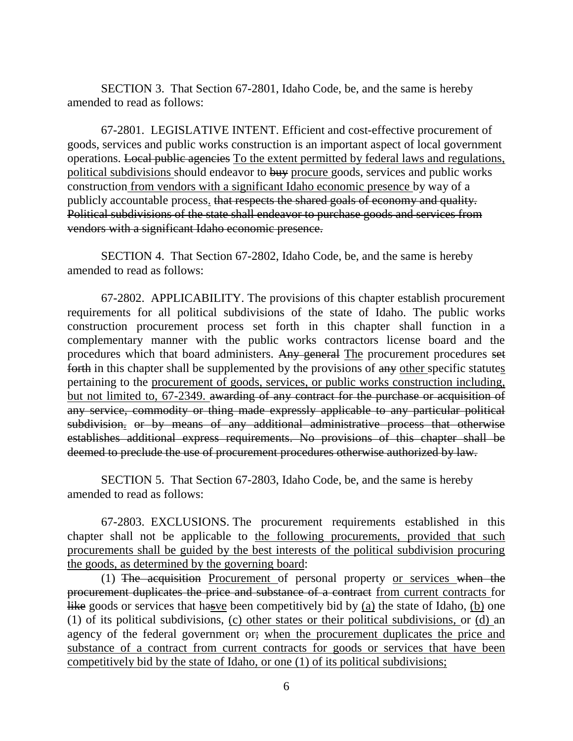SECTION 3. That Section 67-2801, Idaho Code, be, and the same is hereby amended to read as follows:

67-2801. LEGISLATIVE INTENT. Efficient and cost-effective procurement of goods, services and public works construction is an important aspect of local government operations. Local public agencies To the extent permitted by federal laws and regulations, political subdivisions should endeavor to buy procure goods, services and public works construction from vendors with a significant Idaho economic presence by way of a publicly accountable process. that respects the shared goals of economy and quality. Political subdivisions of the state shall endeavor to purchase goods and services from vendors with a significant Idaho economic presence.

SECTION 4. That Section 67-2802, Idaho Code, be, and the same is hereby amended to read as follows:

67-2802. APPLICABILITY. The provisions of this chapter establish procurement requirements for all political subdivisions of the state of Idaho. The public works construction procurement process set forth in this chapter shall function in a complementary manner with the public works contractors license board and the procedures which that board administers. Any general The procurement procedures set forth in this chapter shall be supplemented by the provisions of any other specific statutes pertaining to the procurement of goods, services, or public works construction including, but not limited to, 67-2349. awarding of any contract for the purchase or acquisition of any service, commodity or thing made expressly applicable to any particular political subdivision. or by means of any additional administrative process that otherwise establishes additional express requirements. No provisions of this chapter shall be deemed to preclude the use of procurement procedures otherwise authorized by law.

SECTION 5. That Section 67-2803, Idaho Code, be, and the same is hereby amended to read as follows:

67-2803. EXCLUSIONS. The procurement requirements established in this chapter shall not be applicable to the following procurements, provided that such procurements shall be guided by the best interests of the political subdivision procuring the goods, as determined by the governing board:

(1) The acquisition Procurement of personal property or services when the procurement duplicates the price and substance of a contract from current contracts for like goods or services that hasve been competitively bid by (a) the state of Idaho, (b) one (1) of its political subdivisions, (c) other states or their political subdivisions, or (d) an agency of the federal government or; when the procurement duplicates the price and substance of a contract from current contracts for goods or services that have been competitively bid by the state of Idaho, or one (1) of its political subdivisions;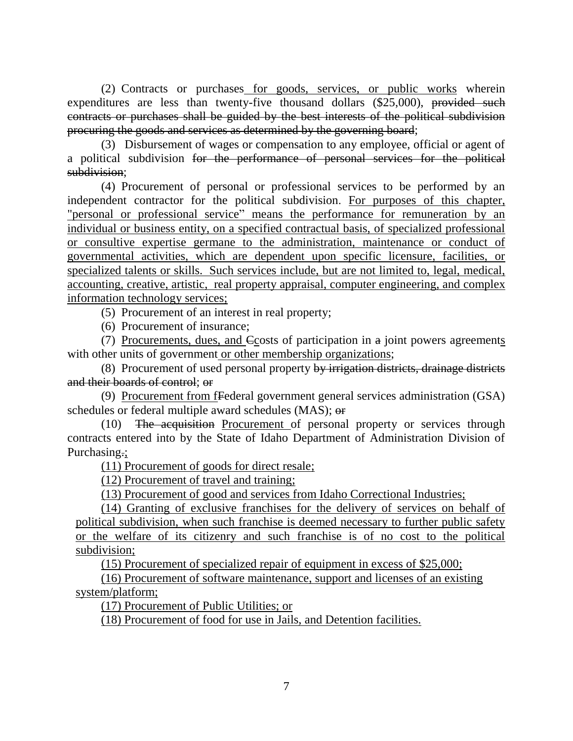(2) Contracts or purchases for goods, services, or public works wherein expenditures are less than twenty-five thousand dollars (\$25,000), provided such contracts or purchases shall be guided by the best interests of the political subdivision procuring the goods and services as determined by the governing board;

(3) Disbursement of wages or compensation to any employee, official or agent of a political subdivision for the performance of personal services for the political subdivision;

(4) Procurement of personal or professional services to be performed by an independent contractor for the political subdivision. For purposes of this chapter, "personal or professional service" means the performance for remuneration by an individual or business entity, on a specified contractual basis, of specialized professional or consultive expertise germane to the administration, maintenance or conduct of governmental activities, which are dependent upon specific licensure, facilities, or specialized talents or skills. Such services include, but are not limited to, legal, medical, accounting, creative, artistic, real property appraisal, computer engineering, and complex information technology services;

(5) Procurement of an interest in real property;

(6) Procurement of insurance;

(7) Procurements, dues, and Ccosts of participation in a joint powers agreements with other units of government or other membership organizations;

(8) Procurement of used personal property by irrigation districts, drainage districts and their boards of control; or

(9) Procurement from fFederal government general services administration (GSA) schedules or federal multiple award schedules (MAS); or

(10) The acquisition Procurement of personal property or services through contracts entered into by the State of Idaho Department of Administration Division of Purchasing.:

(11) Procurement of goods for direct resale;

(12) Procurement of travel and training;

(13) Procurement of good and services from Idaho Correctional Industries;

(14) Granting of exclusive franchises for the delivery of services on behalf of political subdivision, when such franchise is deemed necessary to further public safety or the welfare of its citizenry and such franchise is of no cost to the political subdivision;

(15) Procurement of specialized repair of equipment in excess of \$25,000;

(16) Procurement of software maintenance, support and licenses of an existing system/platform;

(17) Procurement of Public Utilities; or

(18) Procurement of food for use in Jails, and Detention facilities.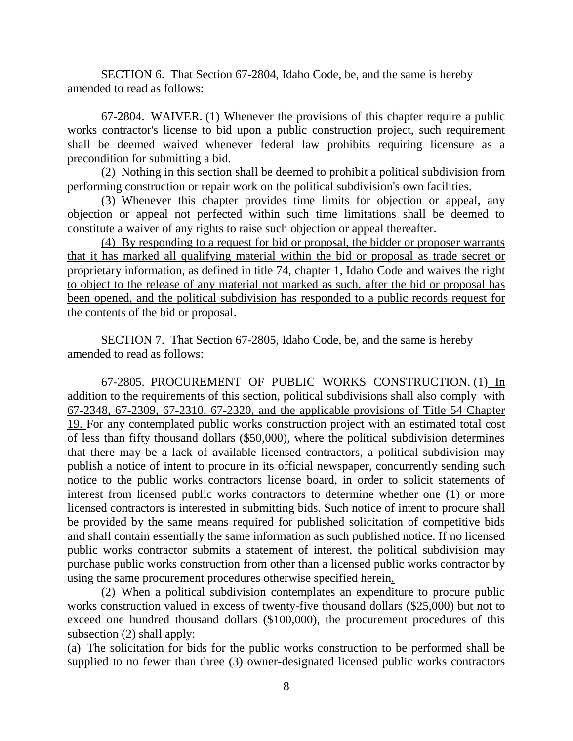SECTION 6. That Section 67-2804, Idaho Code, be, and the same is hereby amended to read as follows:

67-2804. WAIVER. (1) Whenever the provisions of this chapter require a public works contractor's license to bid upon a public construction project, such requirement shall be deemed waived whenever federal law prohibits requiring licensure as a precondition for submitting a bid.

(2) Nothing in this section shall be deemed to prohibit a political subdivision from performing construction or repair work on the political subdivision's own facilities.

(3) Whenever this chapter provides time limits for objection or appeal, any objection or appeal not perfected within such time limitations shall be deemed to constitute a waiver of any rights to raise such objection or appeal thereafter.

(4) By responding to a request for bid or proposal, the bidder or proposer warrants that it has marked all qualifying material within the bid or proposal as trade secret or proprietary information, as defined in title 74, chapter 1, Idaho Code and waives the right to object to the release of any material not marked as such, after the bid or proposal has been opened, and the political subdivision has responded to a public records request for the contents of the bid or proposal.

SECTION 7. That Section 67-2805, Idaho Code, be, and the same is hereby amended to read as follows:

67-2805. PROCUREMENT OF PUBLIC WORKS CONSTRUCTION. (1) In addition to the requirements of this section, political subdivisions shall also comply with 67-2348, 67-2309, 67-2310, 67-2320, and the applicable provisions of Title 54 Chapter 19. For any contemplated public works construction project with an estimated total cost of less than fifty thousand dollars (\$50,000), where the political subdivision determines that there may be a lack of available licensed contractors, a political subdivision may publish a notice of intent to procure in its official newspaper, concurrently sending such notice to the public works contractors license board, in order to solicit statements of interest from licensed public works contractors to determine whether one (1) or more licensed contractors is interested in submitting bids. Such notice of intent to procure shall be provided by the same means required for published solicitation of competitive bids and shall contain essentially the same information as such published notice. If no licensed public works contractor submits a statement of interest, the political subdivision may purchase public works construction from other than a licensed public works contractor by using the same procurement procedures otherwise specified herein.

(2) When a political subdivision contemplates an expenditure to procure public works construction valued in excess of twenty-five thousand dollars (\$25,000) but not to exceed one hundred thousand dollars (\$100,000), the procurement procedures of this subsection (2) shall apply:

(a) The solicitation for bids for the public works construction to be performed shall be supplied to no fewer than three (3) owner-designated licensed public works contractors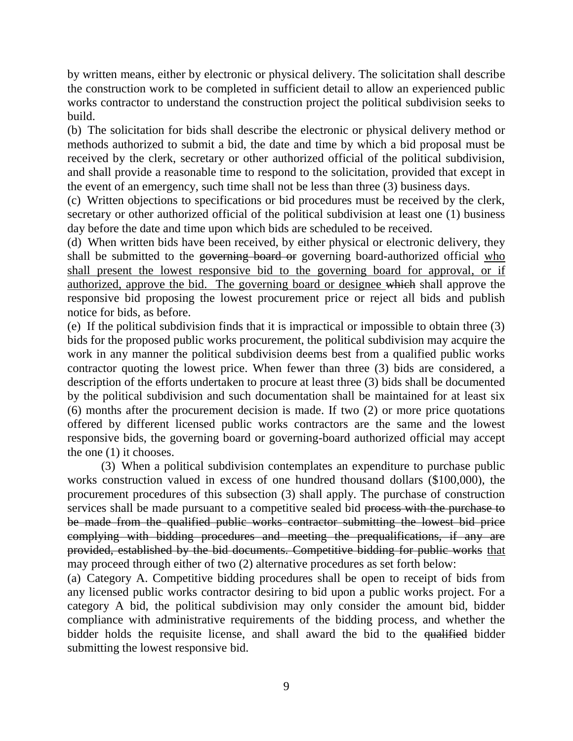by written means, either by electronic or physical delivery. The solicitation shall describe the construction work to be completed in sufficient detail to allow an experienced public works contractor to understand the construction project the political subdivision seeks to build.

(b) The solicitation for bids shall describe the electronic or physical delivery method or methods authorized to submit a bid, the date and time by which a bid proposal must be received by the clerk, secretary or other authorized official of the political subdivision, and shall provide a reasonable time to respond to the solicitation, provided that except in the event of an emergency, such time shall not be less than three (3) business days.

(c) Written objections to specifications or bid procedures must be received by the clerk, secretary or other authorized official of the political subdivision at least one (1) business day before the date and time upon which bids are scheduled to be received.

(d) When written bids have been received, by either physical or electronic delivery, they shall be submitted to the governing board or governing board-authorized official who shall present the lowest responsive bid to the governing board for approval, or if authorized, approve the bid. The governing board or designee which shall approve the responsive bid proposing the lowest procurement price or reject all bids and publish notice for bids, as before.

(e) If the political subdivision finds that it is impractical or impossible to obtain three (3) bids for the proposed public works procurement, the political subdivision may acquire the work in any manner the political subdivision deems best from a qualified public works contractor quoting the lowest price. When fewer than three (3) bids are considered, a description of the efforts undertaken to procure at least three (3) bids shall be documented by the political subdivision and such documentation shall be maintained for at least six (6) months after the procurement decision is made. If two (2) or more price quotations offered by different licensed public works contractors are the same and the lowest responsive bids, the governing board or governing-board authorized official may accept the one (1) it chooses.

(3) When a political subdivision contemplates an expenditure to purchase public works construction valued in excess of one hundred thousand dollars (\$100,000), the procurement procedures of this subsection (3) shall apply. The purchase of construction services shall be made pursuant to a competitive sealed bid process with the purchase to be made from the qualified public works contractor submitting the lowest bid price complying with bidding procedures and meeting the prequalifications, if any are provided, established by the bid documents. Competitive bidding for public works that may proceed through either of two (2) alternative procedures as set forth below:

(a) Category A. Competitive bidding procedures shall be open to receipt of bids from any licensed public works contractor desiring to bid upon a public works project. For a category A bid, the political subdivision may only consider the amount bid, bidder compliance with administrative requirements of the bidding process, and whether the bidder holds the requisite license, and shall award the bid to the qualified bidder submitting the lowest responsive bid.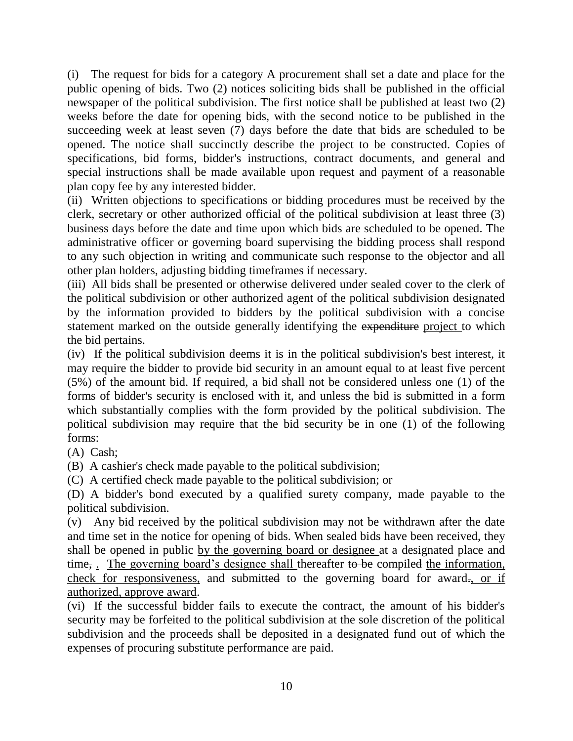(i) The request for bids for a category A procurement shall set a date and place for the public opening of bids. Two (2) notices soliciting bids shall be published in the official newspaper of the political subdivision. The first notice shall be published at least two (2) weeks before the date for opening bids, with the second notice to be published in the succeeding week at least seven (7) days before the date that bids are scheduled to be opened. The notice shall succinctly describe the project to be constructed. Copies of specifications, bid forms, bidder's instructions, contract documents, and general and special instructions shall be made available upon request and payment of a reasonable plan copy fee by any interested bidder.

(ii) Written objections to specifications or bidding procedures must be received by the clerk, secretary or other authorized official of the political subdivision at least three (3) business days before the date and time upon which bids are scheduled to be opened. The administrative officer or governing board supervising the bidding process shall respond to any such objection in writing and communicate such response to the objector and all other plan holders, adjusting bidding timeframes if necessary.

(iii) All bids shall be presented or otherwise delivered under sealed cover to the clerk of the political subdivision or other authorized agent of the political subdivision designated by the information provided to bidders by the political subdivision with a concise statement marked on the outside generally identifying the expenditure project to which the bid pertains.

(iv) If the political subdivision deems it is in the political subdivision's best interest, it may require the bidder to provide bid security in an amount equal to at least five percent (5%) of the amount bid. If required, a bid shall not be considered unless one (1) of the forms of bidder's security is enclosed with it, and unless the bid is submitted in a form which substantially complies with the form provided by the political subdivision. The political subdivision may require that the bid security be in one (1) of the following forms:

(A) Cash;

(B) A cashier's check made payable to the political subdivision;

(C) A certified check made payable to the political subdivision; or

(D) A bidder's bond executed by a qualified surety company, made payable to the political subdivision.

(v) Any bid received by the political subdivision may not be withdrawn after the date and time set in the notice for opening of bids. When sealed bids have been received, they shall be opened in public by the governing board or designee at a designated place and time,. The governing board's designee shall thereafter to be compiled the information, check for responsiveness, and submitted to the governing board for award., or if authorized, approve award.

(vi) If the successful bidder fails to execute the contract, the amount of his bidder's security may be forfeited to the political subdivision at the sole discretion of the political subdivision and the proceeds shall be deposited in a designated fund out of which the expenses of procuring substitute performance are paid.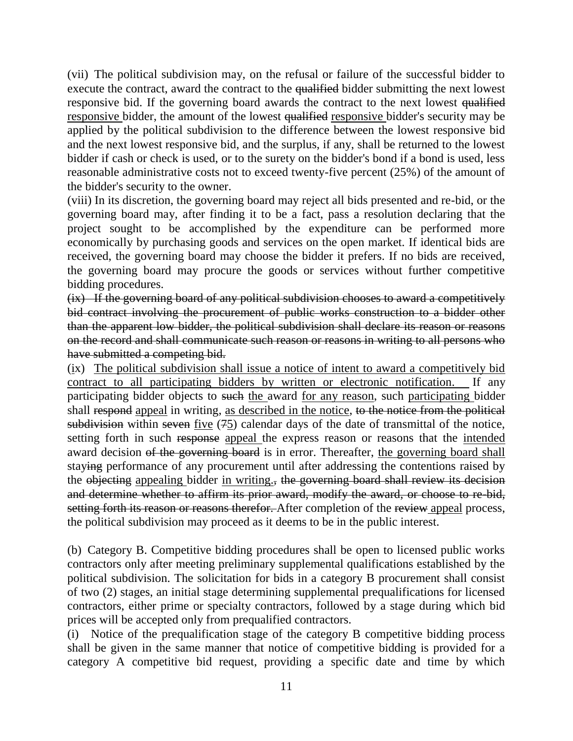(vii) The political subdivision may, on the refusal or failure of the successful bidder to execute the contract, award the contract to the qualified bidder submitting the next lowest responsive bid. If the governing board awards the contract to the next lowest qualified responsive bidder, the amount of the lowest qualified responsive bidder's security may be applied by the political subdivision to the difference between the lowest responsive bid and the next lowest responsive bid, and the surplus, if any, shall be returned to the lowest bidder if cash or check is used, or to the surety on the bidder's bond if a bond is used, less reasonable administrative costs not to exceed twenty-five percent (25%) of the amount of the bidder's security to the owner.

(viii) In its discretion, the governing board may reject all bids presented and re-bid, or the governing board may, after finding it to be a fact, pass a resolution declaring that the project sought to be accomplished by the expenditure can be performed more economically by purchasing goods and services on the open market. If identical bids are received, the governing board may choose the bidder it prefers. If no bids are received, the governing board may procure the goods or services without further competitive bidding procedures.

(ix) If the governing board of any political subdivision chooses to award a competitively bid contract involving the procurement of public works construction to a bidder other than the apparent low bidder, the political subdivision shall declare its reason or reasons on the record and shall communicate such reason or reasons in writing to all persons who have submitted a competing bid.

(ix) The political subdivision shall issue a notice of intent to award a competitively bid contract to all participating bidders by written or electronic notification. If any participating bidder objects to such the award for any reason, such participating bidder shall respond appeal in writing, as described in the notice, to the notice from the political subdivision within seven five (75) calendar days of the date of transmittal of the notice, setting forth in such response appeal the express reason or reasons that the intended award decision of the governing board is in error. Thereafter, the governing board shall staying performance of any procurement until after addressing the contentions raised by the objecting appealing bidder in writing., the governing board shall review its decision and determine whether to affirm its prior award, modify the award, or choose to re-bid, setting forth its reason or reasons therefor. After completion of the review appeal process, the political subdivision may proceed as it deems to be in the public interest.

(b) Category B. Competitive bidding procedures shall be open to licensed public works contractors only after meeting preliminary supplemental qualifications established by the political subdivision. The solicitation for bids in a category B procurement shall consist of two (2) stages, an initial stage determining supplemental prequalifications for licensed contractors, either prime or specialty contractors, followed by a stage during which bid prices will be accepted only from prequalified contractors.

(i) Notice of the prequalification stage of the category B competitive bidding process shall be given in the same manner that notice of competitive bidding is provided for a category A competitive bid request, providing a specific date and time by which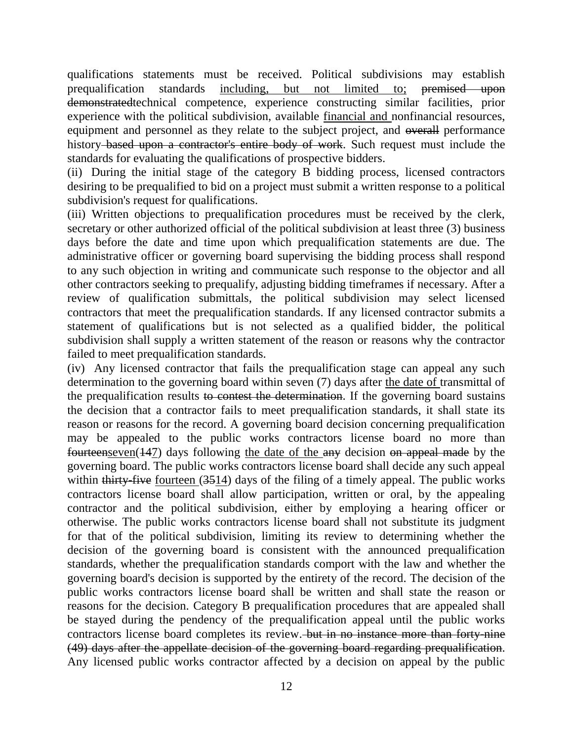qualifications statements must be received. Political subdivisions may establish prequalification standards including, but not limited to; premised upon demonstratedtechnical competence, experience constructing similar facilities, prior experience with the political subdivision, available financial and nonfinancial resources, equipment and personnel as they relate to the subject project, and overall performance history–based upon a contractor's entire body of work. Such request must include the standards for evaluating the qualifications of prospective bidders.

(ii) During the initial stage of the category B bidding process, licensed contractors desiring to be prequalified to bid on a project must submit a written response to a political subdivision's request for qualifications.

(iii) Written objections to prequalification procedures must be received by the clerk, secretary or other authorized official of the political subdivision at least three (3) business days before the date and time upon which prequalification statements are due. The administrative officer or governing board supervising the bidding process shall respond to any such objection in writing and communicate such response to the objector and all other contractors seeking to prequalify, adjusting bidding timeframes if necessary. After a review of qualification submittals, the political subdivision may select licensed contractors that meet the prequalification standards. If any licensed contractor submits a statement of qualifications but is not selected as a qualified bidder, the political subdivision shall supply a written statement of the reason or reasons why the contractor failed to meet prequalification standards.

(iv) Any licensed contractor that fails the prequalification stage can appeal any such determination to the governing board within seven (7) days after the date of transmittal of the prequalification results to contest the determination. If the governing board sustains the decision that a contractor fails to meet prequalification standards, it shall state its reason or reasons for the record. A governing board decision concerning prequalification may be appealed to the public works contractors license board no more than fourteenseven(147) days following the date of the any decision on appeal made by the governing board. The public works contractors license board shall decide any such appeal within thirty-five fourteen (3514) days of the filing of a timely appeal. The public works contractors license board shall allow participation, written or oral, by the appealing contractor and the political subdivision, either by employing a hearing officer or otherwise. The public works contractors license board shall not substitute its judgment for that of the political subdivision, limiting its review to determining whether the decision of the governing board is consistent with the announced prequalification standards, whether the prequalification standards comport with the law and whether the governing board's decision is supported by the entirety of the record. The decision of the public works contractors license board shall be written and shall state the reason or reasons for the decision. Category B prequalification procedures that are appealed shall be stayed during the pendency of the prequalification appeal until the public works contractors license board completes its review. but in no instance more than forty-nine (49) days after the appellate decision of the governing board regarding prequalification. Any licensed public works contractor affected by a decision on appeal by the public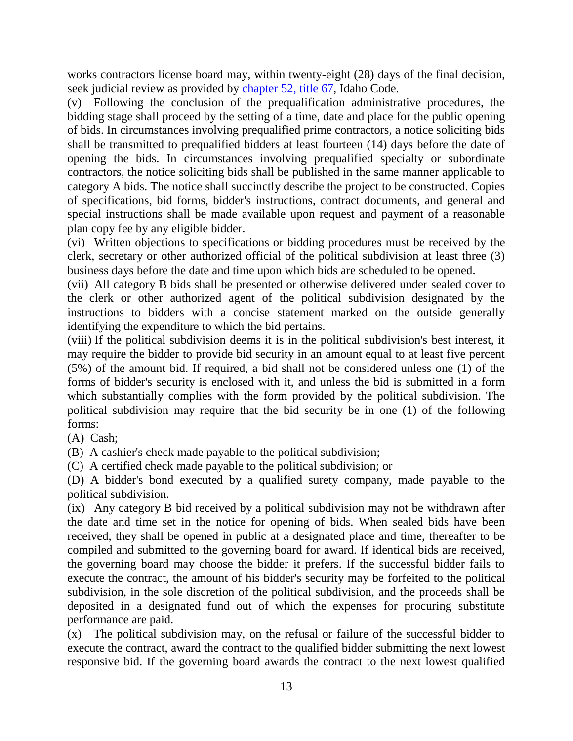works contractors license board may, within twenty-eight (28) days of the final decision, seek judicial review as provided by [chapter 52, title 67,](http://legislature.idaho.gov/idstat/Title67/T67CH52.htm) Idaho Code.

(v) Following the conclusion of the prequalification administrative procedures, the bidding stage shall proceed by the setting of a time, date and place for the public opening of bids. In circumstances involving prequalified prime contractors, a notice soliciting bids shall be transmitted to prequalified bidders at least fourteen (14) days before the date of opening the bids. In circumstances involving prequalified specialty or subordinate contractors, the notice soliciting bids shall be published in the same manner applicable to category A bids. The notice shall succinctly describe the project to be constructed. Copies of specifications, bid forms, bidder's instructions, contract documents, and general and special instructions shall be made available upon request and payment of a reasonable plan copy fee by any eligible bidder.

(vi) Written objections to specifications or bidding procedures must be received by the clerk, secretary or other authorized official of the political subdivision at least three (3) business days before the date and time upon which bids are scheduled to be opened.

(vii) All category B bids shall be presented or otherwise delivered under sealed cover to the clerk or other authorized agent of the political subdivision designated by the instructions to bidders with a concise statement marked on the outside generally identifying the expenditure to which the bid pertains.

(viii) If the political subdivision deems it is in the political subdivision's best interest, it may require the bidder to provide bid security in an amount equal to at least five percent (5%) of the amount bid. If required, a bid shall not be considered unless one (1) of the forms of bidder's security is enclosed with it, and unless the bid is submitted in a form which substantially complies with the form provided by the political subdivision. The political subdivision may require that the bid security be in one (1) of the following forms:

(A) Cash;

(B) A cashier's check made payable to the political subdivision;

(C) A certified check made payable to the political subdivision; or

(D) A bidder's bond executed by a qualified surety company, made payable to the political subdivision.

(ix) Any category B bid received by a political subdivision may not be withdrawn after the date and time set in the notice for opening of bids. When sealed bids have been received, they shall be opened in public at a designated place and time, thereafter to be compiled and submitted to the governing board for award. If identical bids are received, the governing board may choose the bidder it prefers. If the successful bidder fails to execute the contract, the amount of his bidder's security may be forfeited to the political subdivision, in the sole discretion of the political subdivision, and the proceeds shall be deposited in a designated fund out of which the expenses for procuring substitute performance are paid.

(x) The political subdivision may, on the refusal or failure of the successful bidder to execute the contract, award the contract to the qualified bidder submitting the next lowest responsive bid. If the governing board awards the contract to the next lowest qualified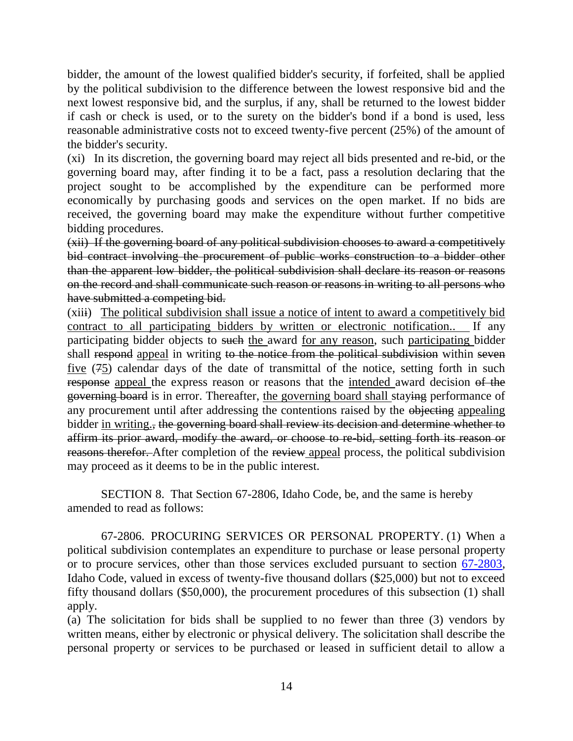bidder, the amount of the lowest qualified bidder's security, if forfeited, shall be applied by the political subdivision to the difference between the lowest responsive bid and the next lowest responsive bid, and the surplus, if any, shall be returned to the lowest bidder if cash or check is used, or to the surety on the bidder's bond if a bond is used, less reasonable administrative costs not to exceed twenty-five percent (25%) of the amount of the bidder's security.

(xi) In its discretion, the governing board may reject all bids presented and re-bid, or the governing board may, after finding it to be a fact, pass a resolution declaring that the project sought to be accomplished by the expenditure can be performed more economically by purchasing goods and services on the open market. If no bids are received, the governing board may make the expenditure without further competitive bidding procedures.

(xii) If the governing board of any political subdivision chooses to award a competitively bid contract involving the procurement of public works construction to a bidder other than the apparent low bidder, the political subdivision shall declare its reason or reasons on the record and shall communicate such reason or reasons in writing to all persons who have submitted a competing bid.

(xiii) The political subdivision shall issue a notice of intent to award a competitively bid contract to all participating bidders by written or electronic notification.. If any participating bidder objects to such the award for any reason, such participating bidder shall respond appeal in writing to the notice from the political subdivision within seven five (75) calendar days of the date of transmittal of the notice, setting forth in such response appeal the express reason or reasons that the intended award decision of the governing board is in error. Thereafter, the governing board shall staying performance of any procurement until after addressing the contentions raised by the objecting appealing bidder in writing., the governing board shall review its decision and determine whether to affirm its prior award, modify the award, or choose to re-bid, setting forth its reason or reasons therefor. After completion of the review appeal process, the political subdivision may proceed as it deems to be in the public interest.

SECTION 8. That Section 67-2806, Idaho Code, be, and the same is hereby amended to read as follows:

67-2806. PROCURING SERVICES OR PERSONAL PROPERTY. (1) When a political subdivision contemplates an expenditure to purchase or lease personal property or to procure services, other than those services excluded pursuant to section [67-2803,](http://legislature.idaho.gov/idstat/Title67/T67CH28SECT67-2803.htm) Idaho Code, valued in excess of twenty-five thousand dollars (\$25,000) but not to exceed fifty thousand dollars (\$50,000), the procurement procedures of this subsection (1) shall apply.

(a) The solicitation for bids shall be supplied to no fewer than three (3) vendors by written means, either by electronic or physical delivery. The solicitation shall describe the personal property or services to be purchased or leased in sufficient detail to allow a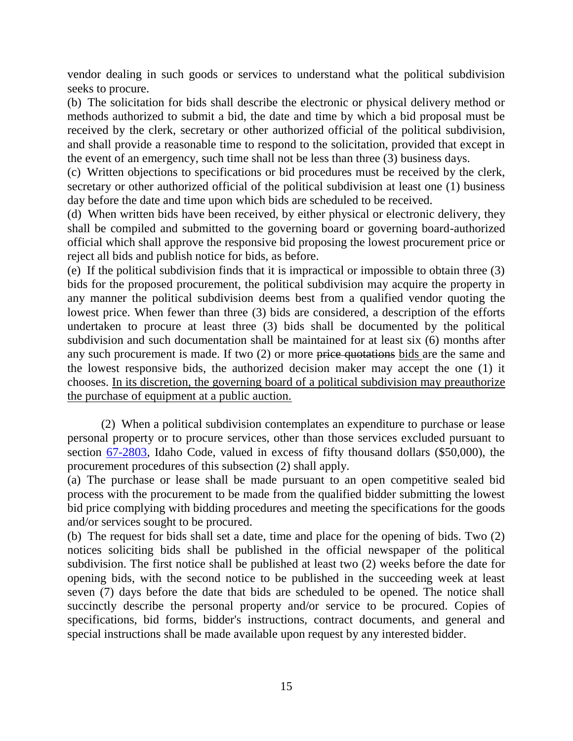vendor dealing in such goods or services to understand what the political subdivision seeks to procure.

(b) The solicitation for bids shall describe the electronic or physical delivery method or methods authorized to submit a bid, the date and time by which a bid proposal must be received by the clerk, secretary or other authorized official of the political subdivision, and shall provide a reasonable time to respond to the solicitation, provided that except in the event of an emergency, such time shall not be less than three (3) business days.

(c) Written objections to specifications or bid procedures must be received by the clerk, secretary or other authorized official of the political subdivision at least one (1) business day before the date and time upon which bids are scheduled to be received.

(d) When written bids have been received, by either physical or electronic delivery, they shall be compiled and submitted to the governing board or governing board-authorized official which shall approve the responsive bid proposing the lowest procurement price or reject all bids and publish notice for bids, as before.

(e) If the political subdivision finds that it is impractical or impossible to obtain three (3) bids for the proposed procurement, the political subdivision may acquire the property in any manner the political subdivision deems best from a qualified vendor quoting the lowest price. When fewer than three (3) bids are considered, a description of the efforts undertaken to procure at least three (3) bids shall be documented by the political subdivision and such documentation shall be maintained for at least six (6) months after any such procurement is made. If two (2) or more price quotations bids are the same and the lowest responsive bids, the authorized decision maker may accept the one (1) it chooses. In its discretion, the governing board of a political subdivision may preauthorize the purchase of equipment at a public auction.

(2) When a political subdivision contemplates an expenditure to purchase or lease personal property or to procure services, other than those services excluded pursuant to section [67-2803,](http://legislature.idaho.gov/idstat/Title67/T67CH28SECT67-2803.htm) Idaho Code, valued in excess of fifty thousand dollars (\$50,000), the procurement procedures of this subsection (2) shall apply.

(a) The purchase or lease shall be made pursuant to an open competitive sealed bid process with the procurement to be made from the qualified bidder submitting the lowest bid price complying with bidding procedures and meeting the specifications for the goods and/or services sought to be procured.

(b) The request for bids shall set a date, time and place for the opening of bids. Two (2) notices soliciting bids shall be published in the official newspaper of the political subdivision. The first notice shall be published at least two (2) weeks before the date for opening bids, with the second notice to be published in the succeeding week at least seven (7) days before the date that bids are scheduled to be opened. The notice shall succinctly describe the personal property and/or service to be procured. Copies of specifications, bid forms, bidder's instructions, contract documents, and general and special instructions shall be made available upon request by any interested bidder.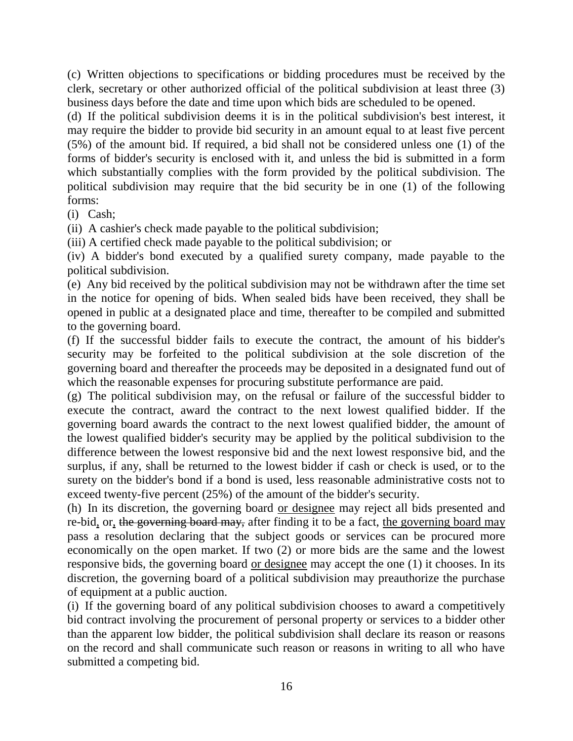(c) Written objections to specifications or bidding procedures must be received by the clerk, secretary or other authorized official of the political subdivision at least three (3) business days before the date and time upon which bids are scheduled to be opened.

(d) If the political subdivision deems it is in the political subdivision's best interest, it may require the bidder to provide bid security in an amount equal to at least five percent (5%) of the amount bid. If required, a bid shall not be considered unless one (1) of the forms of bidder's security is enclosed with it, and unless the bid is submitted in a form which substantially complies with the form provided by the political subdivision. The political subdivision may require that the bid security be in one (1) of the following forms:

(i) Cash;

(ii) A cashier's check made payable to the political subdivision;

(iii) A certified check made payable to the political subdivision; or

(iv) A bidder's bond executed by a qualified surety company, made payable to the political subdivision.

(e) Any bid received by the political subdivision may not be withdrawn after the time set in the notice for opening of bids. When sealed bids have been received, they shall be opened in public at a designated place and time, thereafter to be compiled and submitted to the governing board.

(f) If the successful bidder fails to execute the contract, the amount of his bidder's security may be forfeited to the political subdivision at the sole discretion of the governing board and thereafter the proceeds may be deposited in a designated fund out of which the reasonable expenses for procuring substitute performance are paid.

(g) The political subdivision may, on the refusal or failure of the successful bidder to execute the contract, award the contract to the next lowest qualified bidder. If the governing board awards the contract to the next lowest qualified bidder, the amount of the lowest qualified bidder's security may be applied by the political subdivision to the difference between the lowest responsive bid and the next lowest responsive bid, and the surplus, if any, shall be returned to the lowest bidder if cash or check is used, or to the surety on the bidder's bond if a bond is used, less reasonable administrative costs not to exceed twenty-five percent (25%) of the amount of the bidder's security.

(h) In its discretion, the governing board or designee may reject all bids presented and re-bid, or, the governing board may, after finding it to be a fact, the governing board may pass a resolution declaring that the subject goods or services can be procured more economically on the open market. If two (2) or more bids are the same and the lowest responsive bids, the governing board or designee may accept the one (1) it chooses. In its discretion, the governing board of a political subdivision may preauthorize the purchase of equipment at a public auction.

(i) If the governing board of any political subdivision chooses to award a competitively bid contract involving the procurement of personal property or services to a bidder other than the apparent low bidder, the political subdivision shall declare its reason or reasons on the record and shall communicate such reason or reasons in writing to all who have submitted a competing bid.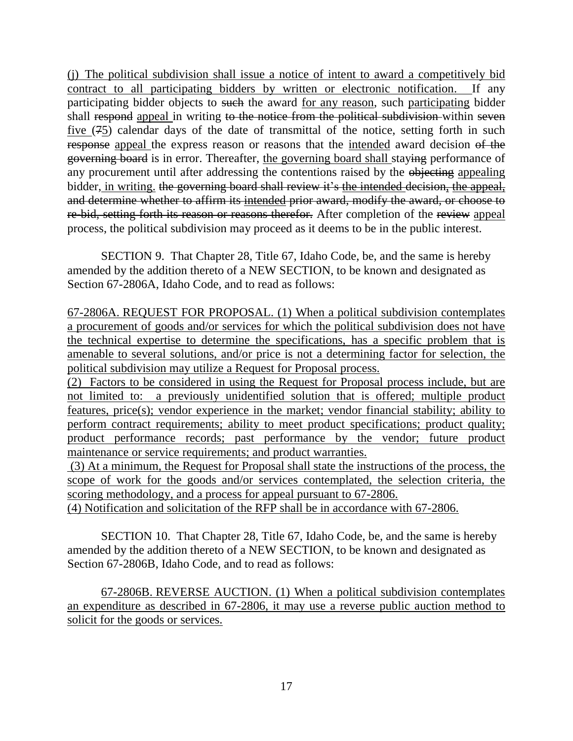(j) The political subdivision shall issue a notice of intent to award a competitively bid contract to all participating bidders by written or electronic notification. If any participating bidder objects to such the award for any reason, such participating bidder shall respond appeal in writing to the notice from the political subdivision within seven five (75) calendar days of the date of transmittal of the notice, setting forth in such response appeal the express reason or reasons that the intended award decision of the governing board is in error. Thereafter, the governing board shall staying performance of any procurement until after addressing the contentions raised by the objecting appealing bidder, in writing. the governing board shall review it's the intended decision, the appeal, and determine whether to affirm its intended prior award, modify the award, or choose to re-bid, setting forth its reason or reasons therefor. After completion of the review appeal process, the political subdivision may proceed as it deems to be in the public interest.

SECTION 9. That Chapter 28, Title 67, Idaho Code, be, and the same is hereby amended by the addition thereto of a NEW SECTION, to be known and designated as Section 67-2806A, Idaho Code, and to read as follows:

67-2806A. REQUEST FOR PROPOSAL. (1) When a political subdivision contemplates a procurement of goods and/or services for which the political subdivision does not have the technical expertise to determine the specifications, has a specific problem that is amenable to several solutions, and/or price is not a determining factor for selection, the political subdivision may utilize a Request for Proposal process.

(2) Factors to be considered in using the Request for Proposal process include, but are not limited to: a previously unidentified solution that is offered; multiple product features, price(s); vendor experience in the market; vendor financial stability; ability to perform contract requirements; ability to meet product specifications; product quality; product performance records; past performance by the vendor; future product maintenance or service requirements; and product warranties.

(3) At a minimum, the Request for Proposal shall state the instructions of the process, the scope of work for the goods and/or services contemplated, the selection criteria, the scoring methodology, and a process for appeal pursuant to 67-2806.

(4) Notification and solicitation of the RFP shall be in accordance with 67-2806.

SECTION 10. That Chapter 28, Title 67, Idaho Code, be, and the same is hereby amended by the addition thereto of a NEW SECTION, to be known and designated as Section 67-2806B, Idaho Code, and to read as follows:

67-2806B. REVERSE AUCTION. (1) When a political subdivision contemplates an expenditure as described in 67-2806, it may use a reverse public auction method to solicit for the goods or services.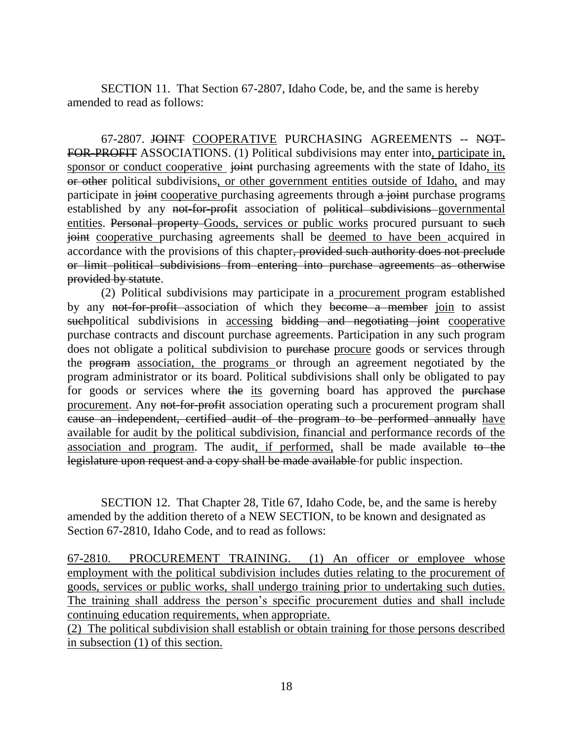SECTION 11. That Section 67-2807, Idaho Code, be, and the same is hereby amended to read as follows:

67-2807. JOINT COOPERATIVE PURCHASING AGREEMENTS -- NOT-FOR-PROFIT ASSOCIATIONS. (1) Political subdivisions may enter into, participate in, sponsor or conduct cooperative joint purchasing agreements with the state of Idaho, its or other political subdivisions, or other government entities outside of Idaho, and may participate in joint cooperative purchasing agreements through a joint purchase programs established by any not-for-profit association of political subdivisions governmental entities. Personal property Goods, services or public works procured pursuant to such joint cooperative purchasing agreements shall be deemed to have been acquired in accordance with the provisions of this chapter, provided such authority does not preclude or limit political subdivisions from entering into purchase agreements as otherwise provided by statute.

(2) Political subdivisions may participate in a procurement program established by any not-for-profit association of which they become a member join to assist suchpolitical subdivisions in accessing bidding and negotiating joint cooperative purchase contracts and discount purchase agreements. Participation in any such program does not obligate a political subdivision to purchase procure goods or services through the program association, the programs or through an agreement negotiated by the program administrator or its board. Political subdivisions shall only be obligated to pay for goods or services where the its governing board has approved the purchase procurement. Any not-for-profit association operating such a procurement program shall cause an independent, certified audit of the program to be performed annually have available for audit by the political subdivision, financial and performance records of the association and program. The audit, if performed, shall be made available to the legislature upon request and a copy shall be made available for public inspection.

SECTION 12. That Chapter 28, Title 67, Idaho Code, be, and the same is hereby amended by the addition thereto of a NEW SECTION, to be known and designated as Section 67-2810, Idaho Code, and to read as follows:

67-2810. PROCUREMENT TRAINING. (1) An officer or employee whose employment with the political subdivision includes duties relating to the procurement of goods, services or public works, shall undergo training prior to undertaking such duties. The training shall address the person's specific procurement duties and shall include continuing education requirements, when appropriate.

(2) The political subdivision shall establish or obtain training for those persons described in subsection (1) of this section.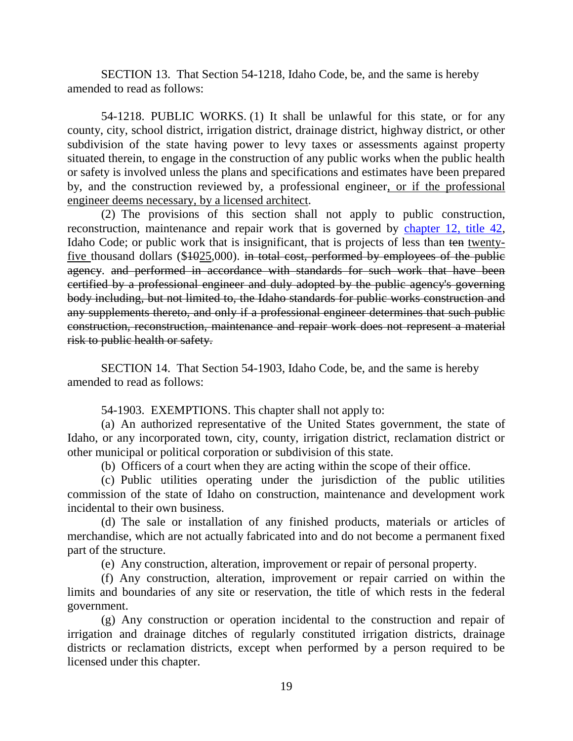SECTION 13. That Section 54-1218, Idaho Code, be, and the same is hereby amended to read as follows:

54-1218. PUBLIC WORKS. (1) It shall be unlawful for this state, or for any county, city, school district, irrigation district, drainage district, highway district, or other subdivision of the state having power to levy taxes or assessments against property situated therein, to engage in the construction of any public works when the public health or safety is involved unless the plans and specifications and estimates have been prepared by, and the construction reviewed by, a professional engineer, or if the professional engineer deems necessary, by a licensed architect.

(2) The provisions of this section shall not apply to public construction, reconstruction, maintenance and repair work that is governed by [chapter 12, title 42,](http://legislature.idaho.gov/idstat/Title42/T42CH12.htm) Idaho Code; or public work that is insignificant, that is projects of less than ten twentyfive thousand dollars  $(\$1025,000)$ . in total cost, performed by employees of the public agency. and performed in accordance with standards for such work that have been certified by a professional engineer and duly adopted by the public agency's governing body including, but not limited to, the Idaho standards for public works construction and any supplements thereto, and only if a professional engineer determines that such public construction, reconstruction, maintenance and repair work does not represent a material risk to public health or safety.

SECTION 14. That Section 54-1903, Idaho Code, be, and the same is hereby amended to read as follows:

54-1903. EXEMPTIONS. This chapter shall not apply to:

(a) An authorized representative of the United States government, the state of Idaho, or any incorporated town, city, county, irrigation district, reclamation district or other municipal or political corporation or subdivision of this state.

(b) Officers of a court when they are acting within the scope of their office.

(c) Public utilities operating under the jurisdiction of the public utilities commission of the state of Idaho on construction, maintenance and development work incidental to their own business.

(d) The sale or installation of any finished products, materials or articles of merchandise, which are not actually fabricated into and do not become a permanent fixed part of the structure.

(e) Any construction, alteration, improvement or repair of personal property.

(f) Any construction, alteration, improvement or repair carried on within the limits and boundaries of any site or reservation, the title of which rests in the federal government.

(g) Any construction or operation incidental to the construction and repair of irrigation and drainage ditches of regularly constituted irrigation districts, drainage districts or reclamation districts, except when performed by a person required to be licensed under this chapter.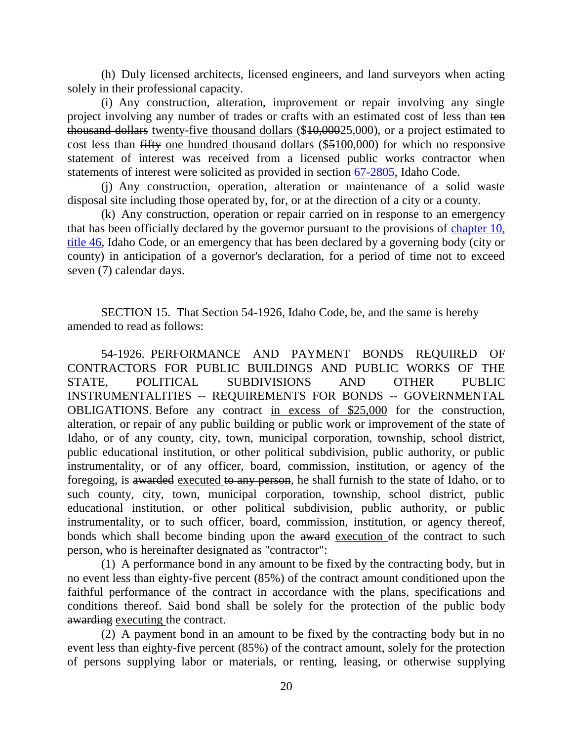(h) Duly licensed architects, licensed engineers, and land surveyors when acting solely in their professional capacity.

(i) Any construction, alteration, improvement or repair involving any single project involving any number of trades or crafts with an estimated cost of less than ten thousand dollars twenty-five thousand dollars (\$10,00025,000), or a project estimated to cost less than fifty one hundred thousand dollars (\$5100,000) for which no responsive statement of interest was received from a licensed public works contractor when statements of interest were solicited as provided in section [67-2805,](http://legislature.idaho.gov/idstat/Title67/T67CH28SECT67-2805.htm) Idaho Code.

(j) Any construction, operation, alteration or maintenance of a solid waste disposal site including those operated by, for, or at the direction of a city or a county.

(k) Any construction, operation or repair carried on in response to an emergency that has been officially declared by the governor pursuant to the provisions of [chapter 10,](http://legislature.idaho.gov/idstat/Title46/T46CH10.htm)  [title 46,](http://legislature.idaho.gov/idstat/Title46/T46CH10.htm) Idaho Code, or an emergency that has been declared by a governing body (city or county) in anticipation of a governor's declaration, for a period of time not to exceed seven (7) calendar days.

SECTION 15. That Section 54-1926, Idaho Code, be, and the same is hereby amended to read as follows:

54-1926. PERFORMANCE AND PAYMENT BONDS REQUIRED OF CONTRACTORS FOR PUBLIC BUILDINGS AND PUBLIC WORKS OF THE STATE, POLITICAL SUBDIVISIONS AND OTHER PUBLIC INSTRUMENTALITIES -- REQUIREMENTS FOR BONDS -- GOVERNMENTAL OBLIGATIONS. Before any contract in excess of \$25,000 for the construction, alteration, or repair of any public building or public work or improvement of the state of Idaho, or of any county, city, town, municipal corporation, township, school district, public educational institution, or other political subdivision, public authority, or public instrumentality, or of any officer, board, commission, institution, or agency of the foregoing, is awarded executed to any person, he shall furnish to the state of Idaho, or to such county, city, town, municipal corporation, township, school district, public educational institution, or other political subdivision, public authority, or public instrumentality, or to such officer, board, commission, institution, or agency thereof, bonds which shall become binding upon the award execution of the contract to such person, who is hereinafter designated as "contractor":

(1) A performance bond in any amount to be fixed by the contracting body, but in no event less than eighty-five percent (85%) of the contract amount conditioned upon the faithful performance of the contract in accordance with the plans, specifications and conditions thereof. Said bond shall be solely for the protection of the public body awarding executing the contract.

(2) A payment bond in an amount to be fixed by the contracting body but in no event less than eighty-five percent (85%) of the contract amount, solely for the protection of persons supplying labor or materials, or renting, leasing, or otherwise supplying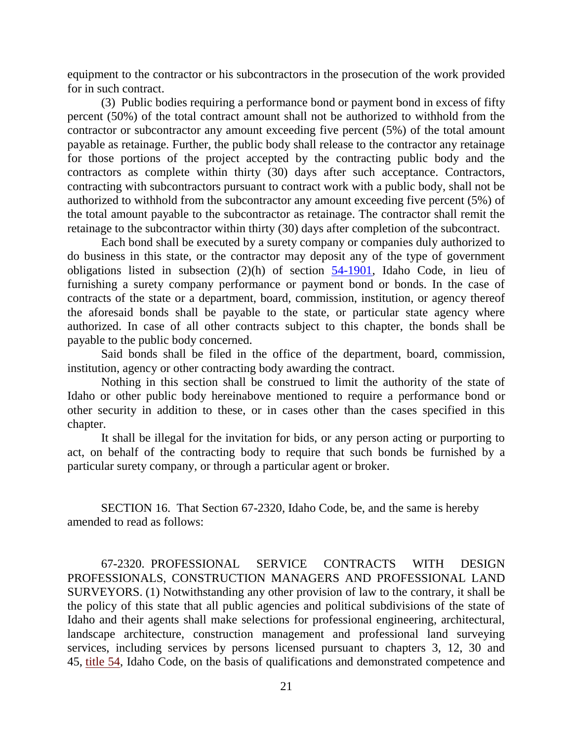equipment to the contractor or his subcontractors in the prosecution of the work provided for in such contract.

(3) Public bodies requiring a performance bond or payment bond in excess of fifty percent (50%) of the total contract amount shall not be authorized to withhold from the contractor or subcontractor any amount exceeding five percent (5%) of the total amount payable as retainage. Further, the public body shall release to the contractor any retainage for those portions of the project accepted by the contracting public body and the contractors as complete within thirty (30) days after such acceptance. Contractors, contracting with subcontractors pursuant to contract work with a public body, shall not be authorized to withhold from the subcontractor any amount exceeding five percent (5%) of the total amount payable to the subcontractor as retainage. The contractor shall remit the retainage to the subcontractor within thirty (30) days after completion of the subcontract.

Each bond shall be executed by a surety company or companies duly authorized to do business in this state, or the contractor may deposit any of the type of government obligations listed in subsection  $(2)(h)$  of section  $\frac{54-1901}{h}$ , Idaho Code, in lieu of furnishing a surety company performance or payment bond or bonds. In the case of contracts of the state or a department, board, commission, institution, or agency thereof the aforesaid bonds shall be payable to the state, or particular state agency where authorized. In case of all other contracts subject to this chapter, the bonds shall be payable to the public body concerned.

Said bonds shall be filed in the office of the department, board, commission, institution, agency or other contracting body awarding the contract.

Nothing in this section shall be construed to limit the authority of the state of Idaho or other public body hereinabove mentioned to require a performance bond or other security in addition to these, or in cases other than the cases specified in this chapter.

It shall be illegal for the invitation for bids, or any person acting or purporting to act, on behalf of the contracting body to require that such bonds be furnished by a particular surety company, or through a particular agent or broker.

SECTION 16. That Section 67-2320, Idaho Code, be, and the same is hereby amended to read as follows:

67-2320. PROFESSIONAL SERVICE CONTRACTS WITH DESIGN PROFESSIONALS, CONSTRUCTION MANAGERS AND PROFESSIONAL LAND SURVEYORS. (1) Notwithstanding any other provision of law to the contrary, it shall be the policy of this state that all public agencies and political subdivisions of the state of Idaho and their agents shall make selections for professional engineering, architectural, landscape architecture, construction management and professional land surveying services, including services by persons licensed pursuant to chapters 3, 12, 30 and 45, [title 54,](https://www.legislature.idaho.gov/idstat/Title54/T54.htm) Idaho Code, on the basis of qualifications and demonstrated competence and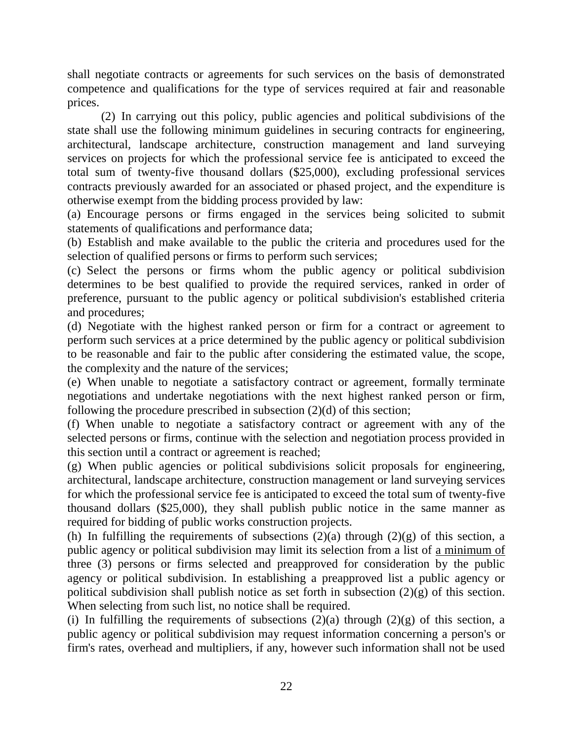shall negotiate contracts or agreements for such services on the basis of demonstrated competence and qualifications for the type of services required at fair and reasonable prices.

(2) In carrying out this policy, public agencies and political subdivisions of the state shall use the following minimum guidelines in securing contracts for engineering, architectural, landscape architecture, construction management and land surveying services on projects for which the professional service fee is anticipated to exceed the total sum of twenty-five thousand dollars (\$25,000), excluding professional services contracts previously awarded for an associated or phased project, and the expenditure is otherwise exempt from the bidding process provided by law:

(a) Encourage persons or firms engaged in the services being solicited to submit statements of qualifications and performance data;

(b) Establish and make available to the public the criteria and procedures used for the selection of qualified persons or firms to perform such services;

(c) Select the persons or firms whom the public agency or political subdivision determines to be best qualified to provide the required services, ranked in order of preference, pursuant to the public agency or political subdivision's established criteria and procedures;

(d) Negotiate with the highest ranked person or firm for a contract or agreement to perform such services at a price determined by the public agency or political subdivision to be reasonable and fair to the public after considering the estimated value, the scope, the complexity and the nature of the services;

(e) When unable to negotiate a satisfactory contract or agreement, formally terminate negotiations and undertake negotiations with the next highest ranked person or firm, following the procedure prescribed in subsection (2)(d) of this section;

(f) When unable to negotiate a satisfactory contract or agreement with any of the selected persons or firms, continue with the selection and negotiation process provided in this section until a contract or agreement is reached;

(g) When public agencies or political subdivisions solicit proposals for engineering, architectural, landscape architecture, construction management or land surveying services for which the professional service fee is anticipated to exceed the total sum of twenty-five thousand dollars (\$25,000), they shall publish public notice in the same manner as required for bidding of public works construction projects.

(h) In fulfilling the requirements of subsections  $(2)(a)$  through  $(2)(g)$  of this section, a public agency or political subdivision may limit its selection from a list of a minimum of three (3) persons or firms selected and preapproved for consideration by the public agency or political subdivision. In establishing a preapproved list a public agency or political subdivision shall publish notice as set forth in subsection  $(2)(g)$  of this section. When selecting from such list, no notice shall be required.

(i) In fulfilling the requirements of subsections  $(2)(a)$  through  $(2)(g)$  of this section, a public agency or political subdivision may request information concerning a person's or firm's rates, overhead and multipliers, if any, however such information shall not be used